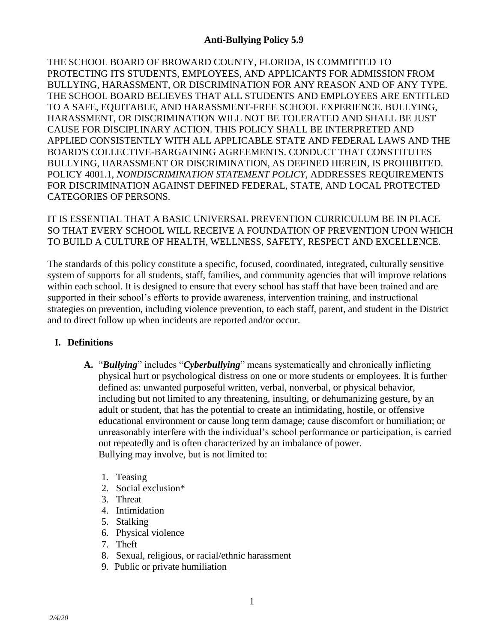THE SCHOOL BOARD OF BROWARD COUNTY, FLORIDA, IS COMMITTED TO PROTECTING ITS STUDENTS, EMPLOYEES, AND APPLICANTS FOR ADMISSION FROM BULLYING, HARASSMENT, OR DISCRIMINATION FOR ANY REASON AND OF ANY TYPE. THE SCHOOL BOARD BELIEVES THAT ALL STUDENTS AND EMPLOYEES ARE ENTITLED TO A SAFE, EQUITABLE, AND HARASSMENT-FREE SCHOOL EXPERIENCE. BULLYING, HARASSMENT, OR DISCRIMINATION WILL NOT BE TOLERATED AND SHALL BE JUST CAUSE FOR DISCIPLINARY ACTION. THIS POLICY SHALL BE INTERPRETED AND APPLIED CONSISTENTLY WITH ALL APPLICABLE STATE AND FEDERAL LAWS AND THE BOARD'S COLLECTIVE-BARGAINING AGREEMENTS. CONDUCT THAT CONSTITUTES BULLYING, HARASSMENT OR DISCRIMINATION, AS DEFINED HEREIN, IS PROHIBITED. POLICY 4001.1, *NONDISCRIMINATION STATEMENT POLICY,* ADDRESSES REQUIREMENTS FOR DISCRIMINATION AGAINST DEFINED FEDERAL, STATE, AND LOCAL PROTECTED CATEGORIES OF PERSONS.

IT IS ESSENTIAL THAT A BASIC UNIVERSAL PREVENTION CURRICULUM BE IN PLACE SO THAT EVERY SCHOOL WILL RECEIVE A FOUNDATION OF PREVENTION UPON WHICH TO BUILD A CULTURE OF HEALTH, WELLNESS, SAFETY, RESPECT AND EXCELLENCE.

The standards of this policy constitute a specific, focused, coordinated, integrated, culturally sensitive system of supports for all students, staff, families, and community agencies that will improve relations within each school. It is designed to ensure that every school has staff that have been trained and are supported in their school's efforts to provide awareness, intervention training, and instructional strategies on prevention, including violence prevention, to each staff, parent, and student in the District and to direct follow up when incidents are reported and/or occur.

# **I. Definitions**

- **A.** "*Bullying*" includes "*Cyberbullying*" means systematically and chronically inflicting physical hurt or psychological distress on one or more students or employees. It is further defined as: unwanted purposeful written, verbal, nonverbal, or physical behavior, including but not limited to any threatening, insulting, or dehumanizing gesture, by an adult or student, that has the potential to create an intimidating, hostile, or offensive educational environment or cause long term damage; cause discomfort or humiliation; or unreasonably interfere with the individual's school performance or participation, is carried out repeatedly and is often characterized by an imbalance of power. Bullying may involve, but is not limited to:
	- 1. Teasing
	- 2. Social exclusion\*
	- 3. Threat
	- 4. Intimidation
	- 5. Stalking
	- 6. Physical violence
	- 7. Theft
	- 8. Sexual, religious, or racial/ethnic harassment
	- 9. Public or private humiliation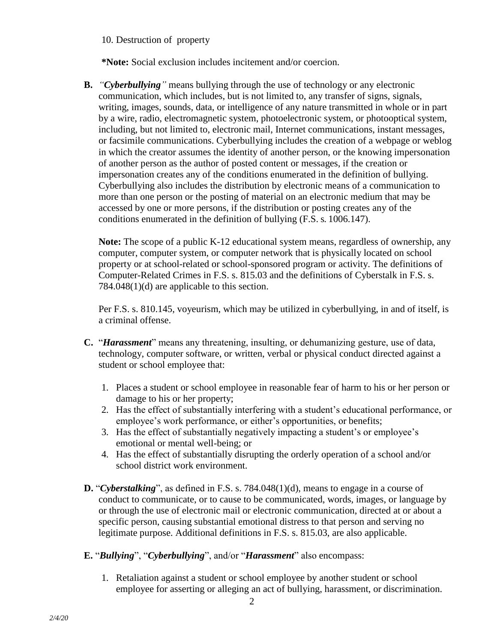10. Destruction of property

**\*Note:** Social exclusion includes incitement and/or coercion.

**B.** *"Cyberbullying"* means bullying through the use of technology or any electronic communication, which includes, but is not limited to, any transfer of signs, signals, writing, images, sounds, data, or intelligence of any nature transmitted in whole or in part by a wire, radio, electromagnetic system, photoelectronic system, or photooptical system, including, but not limited to, electronic mail, Internet communications, instant messages, or facsimile communications. Cyberbullying includes the creation of a webpage or weblog in which the creator assumes the identity of another person, or the knowing impersonation of another person as the author of posted content or messages, if the creation or impersonation creates any of the conditions enumerated in the definition of bullying. Cyberbullying also includes the distribution by electronic means of a communication to more than one person or the posting of material on an electronic medium that may be accessed by one or more persons, if the distribution or posting creates any of the conditions enumerated in the definition of bullying (F.S. s. 1006.147).

**Note:** The scope of a public K-12 educational system means, regardless of ownership, any computer, computer system, or computer network that is physically located on school property or at school-related or school-sponsored program or activity. The definitions of Computer-Related Crimes in F.S. s. 815.03 and the definitions of Cyberstalk in F.S. s. 784.048(1)(d) are applicable to this section.

Per F.S. s. 810.145, voyeurism, which may be utilized in cyberbullying, in and of itself, is a criminal offense.

- **C.** "*Harassment*" means any threatening, insulting, or dehumanizing gesture, use of data, technology, computer software, or written, verbal or physical conduct directed against a student or school employee that:
	- 1. Places a student or school employee in reasonable fear of harm to his or her person or damage to his or her property;
	- 2. Has the effect of substantially interfering with a student's educational performance, or employee's work performance, or either's opportunities, or benefits;
	- 3. Has the effect of substantially negatively impacting a student's or employee's emotional or mental well-being; or
	- 4. Has the effect of substantially disrupting the orderly operation of a school and/or school district work environment.
- **D.** "*Cyberstalking*", as defined in F.S. s. 784.048(1)(d), means to engage in a course of conduct to communicate, or to cause to be communicated, words, images, or language by or through the use of electronic mail or electronic communication, directed at or about a specific person, causing substantial emotional distress to that person and serving no legitimate purpose. Additional definitions in F.S. s. 815.03, are also applicable.

# **E.** "*Bullying*", "*Cyberbullying*", and/or "*Harassment*" also encompass:

1. Retaliation against a student or school employee by another student or school employee for asserting or alleging an act of bullying, harassment, or discrimination.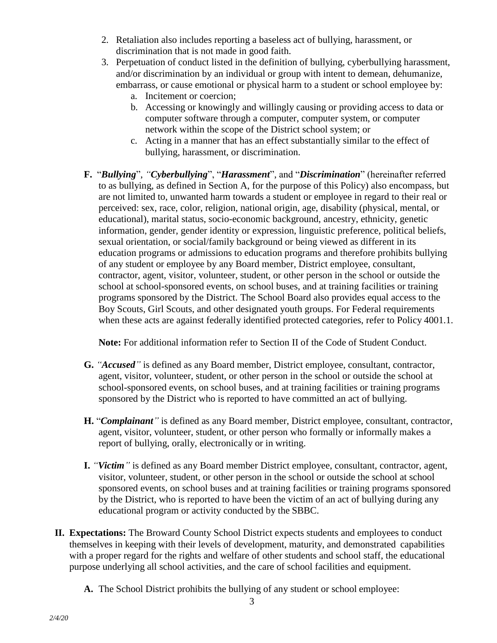- 2. Retaliation also includes reporting a baseless act of bullying, harassment, or discrimination that is not made in good faith.
- 3. Perpetuation of conduct listed in the definition of bullying, cyberbullying harassment, and/or discrimination by an individual or group with intent to demean, dehumanize, embarrass, or cause emotional or physical harm to a student or school employee by:
	- a. Incitement or coercion;
	- b. Accessing or knowingly and willingly causing or providing access to data or computer software through a computer, computer system, or computer network within the scope of the District school system; or
	- c. Acting in a manner that has an effect substantially similar to the effect of bullying, harassment, or discrimination.
- **F.** "*Bullying*", *"Cyberbullying*", "*Harassment*", and "*Discrimination*" (hereinafter referred to as bullying, as defined in Section A, for the purpose of this Policy) also encompass, but are not limited to, unwanted harm towards a student or employee in regard to their real or perceived: sex, race, color, religion, national origin, age, disability (physical, mental, or educational), marital status, socio-economic background, ancestry, ethnicity, genetic information, gender, gender identity or expression, linguistic preference, political beliefs, sexual orientation, or social/family background or being viewed as different in its education programs or admissions to education programs and therefore prohibits bullying of any student or employee by any Board member, District employee, consultant, contractor, agent, visitor, volunteer, student, or other person in the school or outside the school at school-sponsored events, on school buses, and at training facilities or training programs sponsored by the District. The School Board also provides equal access to the Boy Scouts, Girl Scouts, and other designated youth groups. For Federal requirements when these acts are against federally identified protected categories, refer to Policy 4001.1.

**Note:** For additional information refer to Section II of the Code of Student Conduct.

- **G.** *"Accused"* is defined as any Board member, District employee, consultant, contractor, agent, visitor, volunteer, student, or other person in the school or outside the school at school-sponsored events, on school buses, and at training facilities or training programs sponsored by the District who is reported to have committed an act of bullying.
- **H.** "*Complainant"* is defined as any Board member, District employee, consultant, contractor, agent, visitor, volunteer, student, or other person who formally or informally makes a report of bullying, orally, electronically or in writing.
- **I.** *"Victim"* is defined as any Board member District employee, consultant, contractor, agent, visitor, volunteer, student, or other person in the school or outside the school at school sponsored events, on school buses and at training facilities or training programs sponsored by the District, who is reported to have been the victim of an act of bullying during any educational program or activity conducted by the SBBC.
- **II. Expectations:** The Broward County School District expects students and employees to conduct themselves in keeping with their levels of development, maturity, and demonstrated capabilities with a proper regard for the rights and welfare of other students and school staff, the educational purpose underlying all school activities, and the care of school facilities and equipment.
	- **A.** The School District prohibits the bullying of any student or school employee: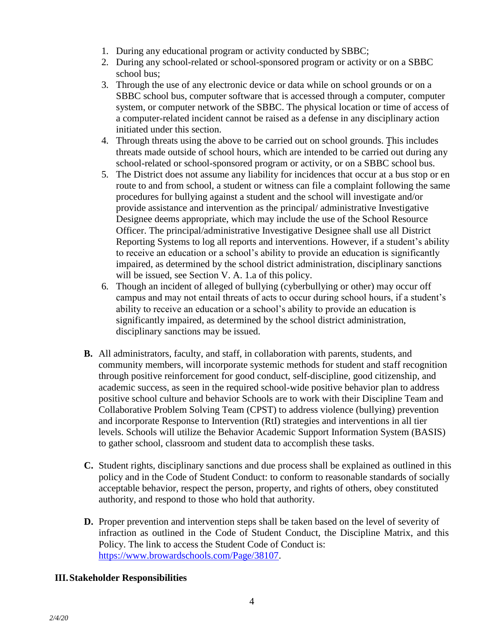- 1. During any educational program or activity conducted by SBBC;
- 2. During any school-related or school-sponsored program or activity or on a SBBC school bus;
- 3. Through the use of any electronic device or data while on school grounds or on a SBBC school bus, computer software that is accessed through a computer, computer system, or computer network of the SBBC. The physical location or time of access of a computer-related incident cannot be raised as a defense in any disciplinary action initiated under this section.
- 4. Through threats using the above to be carried out on school grounds. This includes threats made outside of school hours, which are intended to be carried out during any school-related or school-sponsored program or activity, or on a SBBC school bus.
- 5. The District does not assume any liability for incidences that occur at a bus stop or en route to and from school, a student or witness can file a complaint following the same procedures for bullying against a student and the school will investigate and/or provide assistance and intervention as the principal/ administrative Investigative Designee deems appropriate, which may include the use of the School Resource Officer. The principal/administrative Investigative Designee shall use all District Reporting Systems to log all reports and interventions. However, if a student's ability to receive an education or a school's ability to provide an education is significantly impaired, as determined by the school district administration, disciplinary sanctions will be issued, see Section V. A. 1.a of this policy.
- 6. Though an incident of alleged of bullying (cyberbullying or other) may occur off campus and may not entail threats of acts to occur during school hours, if a student's ability to receive an education or a school's ability to provide an education is significantly impaired, as determined by the school district administration, disciplinary sanctions may be issued.
- **B.** All administrators, faculty, and staff, in collaboration with parents, students, and community members, will incorporate systemic methods for student and staff recognition through positive reinforcement for good conduct, self-discipline, good citizenship, and academic success, as seen in the required school-wide positive behavior plan to address positive school culture and behavior Schools are to work with their Discipline Team and Collaborative Problem Solving Team (CPST) to address violence (bullying) prevention and incorporate Response to Intervention (RtI) strategies and interventions in all tier levels. Schools will utilize the Behavior Academic Support Information System (BASIS) to gather school, classroom and student data to accomplish these tasks.
- **C.** Student rights, disciplinary sanctions and due process shall be explained as outlined in this policy and in the Code of Student Conduct: to conform to reasonable standards of socially acceptable behavior, respect the person, property, and rights of others, obey constituted authority, and respond to those who hold that authority.
- **D.** Proper prevention and intervention steps shall be taken based on the level of severity of infraction as outlined in the Code of Student Conduct, the Discipline Matrix, and this Policy. The link to access the Student Code of Conduct is: [https://www.browardschools.com/Page/38107.](https://www.browardschools.com/Page/38107)

# **III.Stakeholder Responsibilities**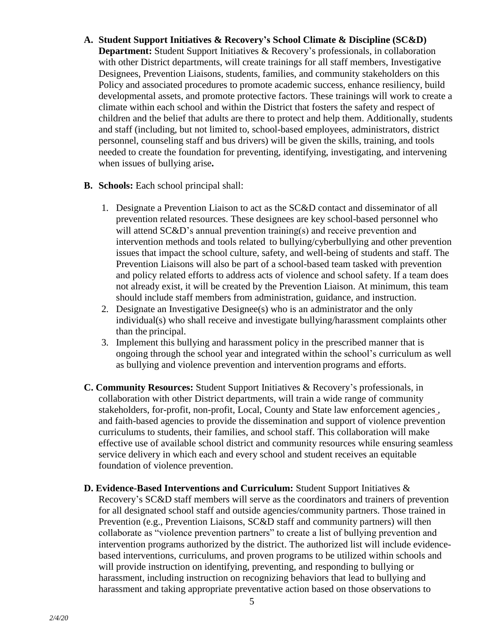- **A. Student Support Initiatives & Recovery's School Climate & Discipline (SC&D) Department:** Student Support Initiatives & Recovery's professionals, in collaboration with other District departments, will create trainings for all staff members, Investigative Designees, Prevention Liaisons, students, families, and community stakeholders on this Policy and associated procedures to promote academic success, enhance resiliency, build developmental assets, and promote protective factors. These trainings will work to create a climate within each school and within the District that fosters the safety and respect of children and the belief that adults are there to protect and help them. Additionally, students and staff (including, but not limited to, school-based employees, administrators, district personnel, counseling staff and bus drivers) will be given the skills, training, and tools needed to create the foundation for preventing, identifying, investigating, and intervening when issues of bullying arise**.**
- **B. Schools:** Each school principal shall:
	- 1. Designate a Prevention Liaison to act as the SC&D contact and disseminator of all prevention related resources. These designees are key school-based personnel who will attend SC&D's annual prevention training(s) and receive prevention and intervention methods and tools related to bullying/cyberbullying and other prevention issues that impact the school culture, safety, and well-being of students and staff. The Prevention Liaisons will also be part of a school-based team tasked with prevention and policy related efforts to address acts of violence and school safety. If a team does not already exist, it will be created by the Prevention Liaison. At minimum, this team should include staff members from administration, guidance, and instruction.
	- 2. Designate an Investigative Designee(s) who is an administrator and the only individual(s) who shall receive and investigate bullying/harassment complaints other than the principal.
	- 3. Implement this bullying and harassment policy in the prescribed manner that is ongoing through the school year and integrated within the school's curriculum as well as bullying and violence prevention and intervention programs and efforts.
- **C. Community Resources:** Student Support Initiatives & Recovery's professionals, in collaboration with other District departments, will train a wide range of community stakeholders, for-profit, non-profit, Local, County and State law enforcement agencies , and faith-based agencies to provide the dissemination and support of violence prevention curriculums to students, their families, and school staff. This collaboration will make effective use of available school district and community resources while ensuring seamless service delivery in which each and every school and student receives an equitable foundation of violence prevention.
- **D. Evidence-Based Interventions and Curriculum:** Student Support Initiatives & Recovery's SC&D staff members will serve as the coordinators and trainers of prevention for all designated school staff and outside agencies/community partners. Those trained in Prevention (e.g., Prevention Liaisons, SC&D staff and community partners) will then collaborate as "violence prevention partners" to create a list of bullying prevention and intervention programs authorized by the district. The authorized list will include evidencebased interventions, curriculums, and proven programs to be utilized within schools and will provide instruction on identifying, preventing, and responding to bullying or harassment, including instruction on recognizing behaviors that lead to bullying and harassment and taking appropriate preventative action based on those observations to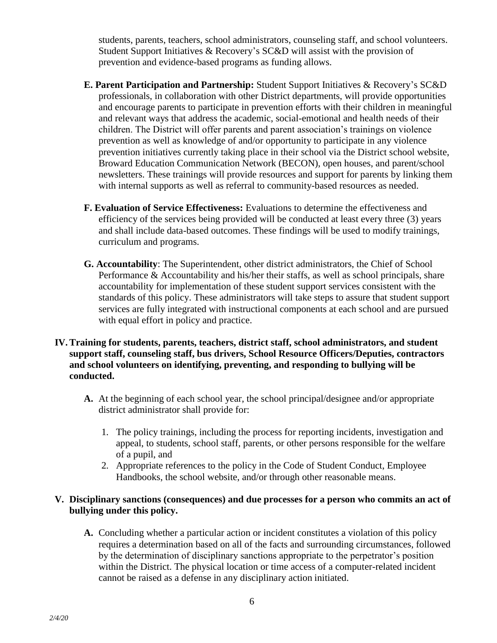students, parents, teachers, school administrators, counseling staff, and school volunteers. Student Support Initiatives & Recovery's SC&D will assist with the provision of prevention and evidence-based programs as funding allows.

- **E. Parent Participation and Partnership:** Student Support Initiatives & Recovery's SC&D professionals, in collaboration with other District departments, will provide opportunities and encourage parents to participate in prevention efforts with their children in meaningful and relevant ways that address the academic, social-emotional and health needs of their children. The District will offer parents and parent association's trainings on violence prevention as well as knowledge of and/or opportunity to participate in any violence prevention initiatives currently taking place in their school via the District school website, Broward Education Communication Network (BECON), open houses, and parent/school newsletters. These trainings will provide resources and support for parents by linking them with internal supports as well as referral to community-based resources as needed.
- **F. Evaluation of Service Effectiveness:** Evaluations to determine the effectiveness and efficiency of the services being provided will be conducted at least every three (3) years and shall include data-based outcomes. These findings will be used to modify trainings, curriculum and programs.
- **G. Accountability**: The Superintendent, other district administrators, the Chief of School Performance & Accountability and his/her their staffs, as well as school principals, share accountability for implementation of these student support services consistent with the standards of this policy. These administrators will take steps to assure that student support services are fully integrated with instructional components at each school and are pursued with equal effort in policy and practice.

### **IV. Training for students, parents, teachers, district staff, school administrators, and student support staff, counseling staff, bus drivers, School Resource Officers/Deputies, contractors and school volunteers on identifying, preventing, and responding to bullying will be conducted.**

- **A.** At the beginning of each school year, the school principal/designee and/or appropriate district administrator shall provide for:
	- 1. The policy trainings, including the process for reporting incidents, investigation and appeal, to students, school staff, parents, or other persons responsible for the welfare of a pupil, and
	- 2. Appropriate references to the policy in the Code of Student Conduct, Employee Handbooks, the school website, and/or through other reasonable means.

# **V. Disciplinary sanctions (consequences) and due processes for a person who commits an act of bullying under this policy.**

**A.** Concluding whether a particular action or incident constitutes a violation of this policy requires a determination based on all of the facts and surrounding circumstances, followed by the determination of disciplinary sanctions appropriate to the perpetrator's position within the District. The physical location or time access of a computer-related incident cannot be raised as a defense in any disciplinary action initiated.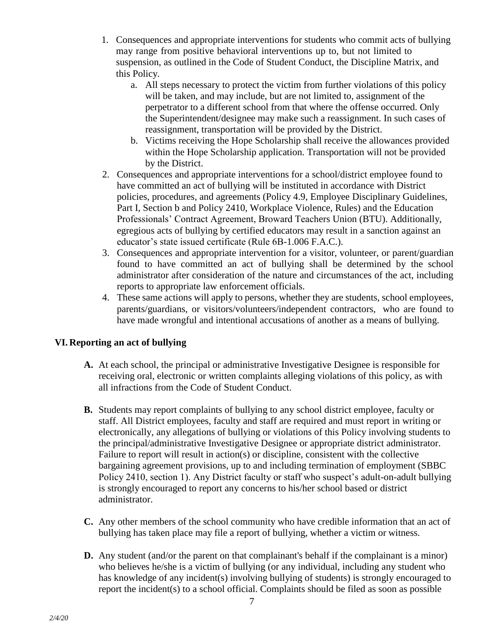- 1. Consequences and appropriate interventions for students who commit acts of bullying may range from positive behavioral interventions up to, but not limited to suspension, as outlined in the Code of Student Conduct, the Discipline Matrix, and this Policy.
	- a. All steps necessary to protect the victim from further violations of this policy will be taken, and may include, but are not limited to, assignment of the perpetrator to a different school from that where the offense occurred. Only the Superintendent/designee may make such a reassignment. In such cases of reassignment, transportation will be provided by the District.
	- b. Victims receiving the Hope Scholarship shall receive the allowances provided within the Hope Scholarship application. Transportation will not be provided by the District.
- 2. Consequences and appropriate interventions for a school/district employee found to have committed an act of bullying will be instituted in accordance with District policies, procedures, and agreements (Policy 4.9, Employee Disciplinary Guidelines, Part I, Section b and Policy 2410, Workplace Violence, Rules) and the Education Professionals' Contract Agreement, Broward Teachers Union (BTU). Additionally, egregious acts of bullying by certified educators may result in a sanction against an educator's state issued certificate (Rule 6B-1.006 F.A.C.).
- 3. Consequences and appropriate intervention for a visitor, volunteer, or parent/guardian found to have committed an act of bullying shall be determined by the school administrator after consideration of the nature and circumstances of the act, including reports to appropriate law enforcement officials.
- 4. These same actions will apply to persons, whether they are students, school employees, parents/guardians, or visitors/volunteers/independent contractors, who are found to have made wrongful and intentional accusations of another as a means of bullying.

# **VI. Reporting an act of bullying**

- **A.** At each school, the principal or administrative Investigative Designee is responsible for receiving oral, electronic or written complaints alleging violations of this policy, as with all infractions from the Code of Student Conduct.
- **B.** Students may report complaints of bullying to any school district employee, faculty or staff. All District employees, faculty and staff are required and must report in writing or electronically, any allegations of bullying or violations of this Policy involving students to the principal/administrative Investigative Designee or appropriate district administrator. Failure to report will result in action(s) or discipline, consistent with the collective bargaining agreement provisions, up to and including termination of employment (SBBC Policy 2410, section 1). Any District faculty or staff who suspect's adult-on-adult bullying is strongly encouraged to report any concerns to his/her school based or district administrator.
- **C.** Any other members of the school community who have credible information that an act of bullying has taken place may file a report of bullying, whether a victim or witness.
- **D.** Any student (and/or the parent on that complainant's behalf if the complainant is a minor) who believes he/she is a victim of bullying (or any individual, including any student who has knowledge of any incident(s) involving bullying of students) is strongly encouraged to report the incident(s) to a school official. Complaints should be filed as soon as possible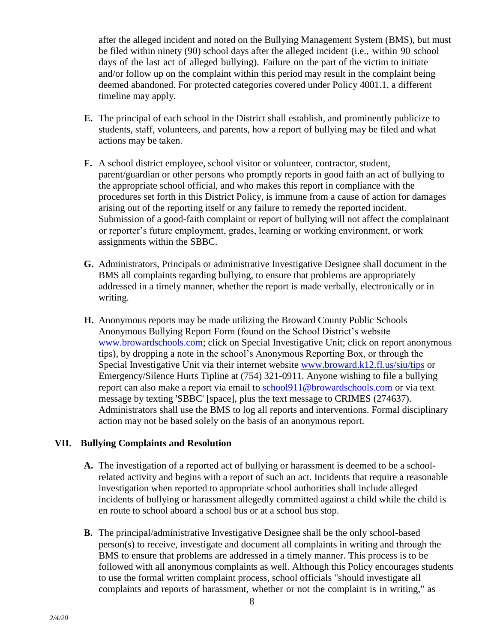after the alleged incident and noted on the Bullying Management System (BMS), but must be filed within ninety (90) school days after the alleged incident (i.e., within 90 school days of the last act of alleged bullying). Failure on the part of the victim to initiate and/or follow up on the complaint within this period may result in the complaint being deemed abandoned. For protected categories covered under Policy 4001.1, a different timeline may apply.

- **E.** The principal of each school in the District shall establish, and prominently publicize to students, staff, volunteers, and parents, how a report of bullying may be filed and what actions may be taken.
- **F.** A school district employee, school visitor or volunteer, contractor, student, parent/guardian or other persons who promptly reports in good faith an act of bullying to the appropriate school official, and who makes this report in compliance with the procedures set forth in this District Policy, is immune from a cause of action for damages arising out of the reporting itself or any failure to remedy the reported incident. Submission of a good-faith complaint or report of bullying will not affect the complainant or reporter's future employment, grades, learning or working environment, or work assignments within the SBBC.
- **G.** Administrators, Principals or administrative Investigative Designee shall document in the BMS all complaints regarding bullying, to ensure that problems are appropriately addressed in a timely manner, whether the report is made verbally, electronically or in writing.
- **H.** Anonymous reports may be made utilizing the Broward County Public Schools Anonymous Bullying Report Form (found on the School District's website [www.browardschools.com;](http://www.browardschools.com,/) click on Special Investigative Unit; click on report anonymous tips), by dropping a note in the school's Anonymous Reporting Box, or through the Special Investigative Unit via their internet website [www.broward.k12.fl.us/siu/tips](http://www.broward.k12.fl.us/siu/tips) or Emergency/Silence Hurts Tipline at (754) 321-0911. Anyone wishing to file a bullying report can also make a report via email to [school911@browardschools.com](mailto:school911@browardschools.com) or via text message by texting 'SBBC' [space], plus the text message to CRIMES (274637). Administrators shall use the BMS to log all reports and interventions. Formal disciplinary action may not be based solely on the basis of an anonymous report.

# **VII. Bullying Complaints and Resolution**

- **A.** The investigation of a reported act of bullying or harassment is deemed to be a schoolrelated activity and begins with a report of such an act. Incidents that require a reasonable investigation when reported to appropriate school authorities shall include alleged incidents of bullying or harassment allegedly committed against a child while the child is en route to school aboard a school bus or at a school bus stop.
- **B.** The principal/administrative Investigative Designee shall be the only school-based person(s) to receive, investigate and document all complaints in writing and through the BMS to ensure that problems are addressed in a timely manner. This process is to be followed with all anonymous complaints as well. Although this Policy encourages students to use the formal written complaint process, school officials "should investigate all complaints and reports of harassment, whether or not the complaint is in writing," as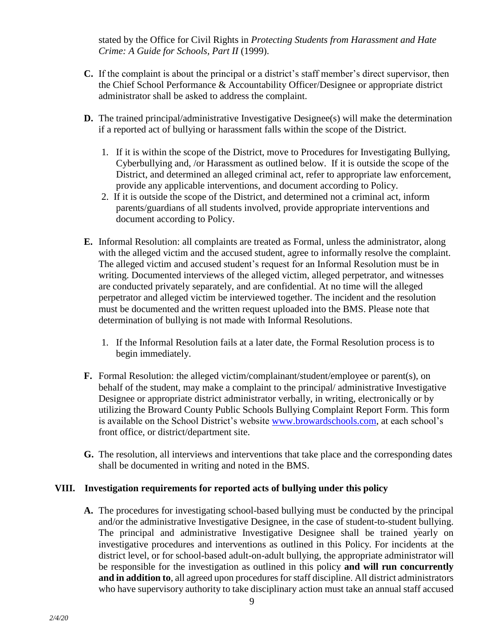stated by the Office for Civil Rights in *Protecting Students from Harassment and Hate Crime: A Guide for Schools, Part II* (1999).

- **C.** If the complaint is about the principal or a district's staff member's direct supervisor, then the Chief School Performance & Accountability Officer/Designee or appropriate district administrator shall be asked to address the complaint.
- **D.** The trained principal/administrative Investigative Designee(s) will make the determination if a reported act of bullying or harassment falls within the scope of the District.
	- 1. If it is within the scope of the District, move to Procedures for Investigating Bullying, Cyberbullying and, /or Harassment as outlined below. If it is outside the scope of the District, and determined an alleged criminal act, refer to appropriate law enforcement, provide any applicable interventions, and document according to Policy.
	- 2. If it is outside the scope of the District, and determined not a criminal act, inform parents/guardians of all students involved, provide appropriate interventions and document according to Policy.
- **E.** Informal Resolution: all complaints are treated as Formal, unless the administrator, along with the alleged victim and the accused student, agree to informally resolve the complaint. The alleged victim and accused student's request for an Informal Resolution must be in writing. Documented interviews of the alleged victim, alleged perpetrator, and witnesses are conducted privately separately, and are confidential. At no time will the alleged perpetrator and alleged victim be interviewed together. The incident and the resolution must be documented and the written request uploaded into the BMS. Please note that determination of bullying is not made with Informal Resolutions.
	- 1. If the Informal Resolution fails at a later date, the Formal Resolution process is to begin immediately.
- **F.** Formal Resolution: the alleged victim/complainant/student/employee or parent(s), on behalf of the student, may make a complaint to the principal/ administrative Investigative Designee or appropriate district administrator verbally, in writing, electronically or by utilizing the Broward County Public Schools Bullying Complaint Report Form. This form is available on the School District's website [www.browardschools.com,](http://www.browardschools.com/) at each school's front office, or district/department site.
- **G.** The resolution, all interviews and interventions that take place and the corresponding dates shall be documented in writing and noted in the BMS.

# **VIII. Investigation requirements for reported acts of bullying under this policy**

**A.** The procedures for investigating school-based bullying must be conducted by the principal and/or the administrative Investigative Designee, in the case of student-to-student bullying. The principal and administrative Investigative Designee shall be trained yearly on investigative procedures and interventions as outlined in this Policy. For incidents at the district level, or for school-based adult-on-adult bullying, the appropriate administrator will be responsible for the investigation as outlined in this policy **and will run concurrently and in addition to**, all agreed upon procedures for staff discipline. All district administrators who have supervisory authority to take disciplinary action must take an annual staff accused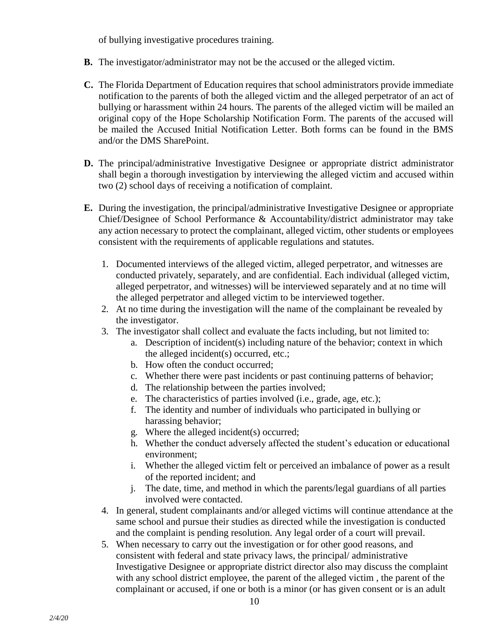of bullying investigative procedures training.

- **B.** The investigator/administrator may not be the accused or the alleged victim.
- **C.** The Florida Department of Education requires that school administrators provide immediate notification to the parents of both the alleged victim and the alleged perpetrator of an act of bullying or harassment within 24 hours. The parents of the alleged victim will be mailed an original copy of the Hope Scholarship Notification Form. The parents of the accused will be mailed the Accused Initial Notification Letter. Both forms can be found in the BMS and/or the DMS SharePoint.
- **D.** The principal/administrative Investigative Designee or appropriate district administrator shall begin a thorough investigation by interviewing the alleged victim and accused within two (2) school days of receiving a notification of complaint.
- **E.** During the investigation, the principal/administrative Investigative Designee or appropriate Chief/Designee of School Performance & Accountability/district administrator may take any action necessary to protect the complainant, alleged victim, other students or employees consistent with the requirements of applicable regulations and statutes.
	- 1. Documented interviews of the alleged victim, alleged perpetrator, and witnesses are conducted privately, separately, and are confidential. Each individual (alleged victim, alleged perpetrator, and witnesses) will be interviewed separately and at no time will the alleged perpetrator and alleged victim to be interviewed together.
	- 2. At no time during the investigation will the name of the complainant be revealed by the investigator.
	- 3. The investigator shall collect and evaluate the facts including, but not limited to:
		- a. Description of incident(s) including nature of the behavior; context in which the alleged incident(s) occurred, etc.;
		- b. How often the conduct occurred;
		- c. Whether there were past incidents or past continuing patterns of behavior;
		- d. The relationship between the parties involved;
		- e. The characteristics of parties involved (i.e., grade, age, etc.);
		- f. The identity and number of individuals who participated in bullying or harassing behavior;
		- g. Where the alleged incident(s) occurred;
		- h. Whether the conduct adversely affected the student's education or educational environment;
		- i. Whether the alleged victim felt or perceived an imbalance of power as a result of the reported incident; and
		- j. The date, time, and method in which the parents/legal guardians of all parties involved were contacted.
	- 4. In general, student complainants and/or alleged victims will continue attendance at the same school and pursue their studies as directed while the investigation is conducted and the complaint is pending resolution. Any legal order of a court will prevail.
	- 5. When necessary to carry out the investigation or for other good reasons, and consistent with federal and state privacy laws, the principal/ administrative Investigative Designee or appropriate district director also may discuss the complaint with any school district employee, the parent of the alleged victim , the parent of the complainant or accused, if one or both is a minor (or has given consent or is an adult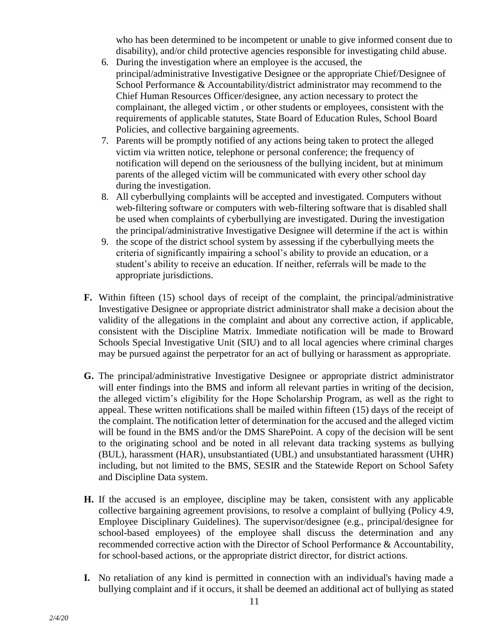who has been determined to be incompetent or unable to give informed consent due to disability), and/or child protective agencies responsible for investigating child abuse.

- 6. During the investigation where an employee is the accused, the principal/administrative Investigative Designee or the appropriate Chief/Designee of School Performance & Accountability/district administrator may recommend to the Chief Human Resources Officer/designee, any action necessary to protect the complainant, the alleged victim , or other students or employees, consistent with the requirements of applicable statutes, State Board of Education Rules, School Board Policies, and collective bargaining agreements.
- 7. Parents will be promptly notified of any actions being taken to protect the alleged victim via written notice, telephone or personal conference; the frequency of notification will depend on the seriousness of the bullying incident, but at minimum parents of the alleged victim will be communicated with every other school day during the investigation.
- 8. All cyberbullying complaints will be accepted and investigated. Computers without web-filtering software or computers with web-filtering software that is disabled shall be used when complaints of cyberbullying are investigated. During the investigation the principal/administrative Investigative Designee will determine if the act is within
- 9. the scope of the district school system by assessing if the cyberbullying meets the criteria of significantly impairing a school's ability to provide an education, or a student's ability to receive an education. If neither, referrals will be made to the appropriate jurisdictions.
- **F.** Within fifteen (15) school days of receipt of the complaint, the principal/administrative Investigative Designee or appropriate district administrator shall make a decision about the validity of the allegations in the complaint and about any corrective action, if applicable, consistent with the Discipline Matrix. Immediate notification will be made to Broward Schools Special Investigative Unit (SIU) and to all local agencies where criminal charges may be pursued against the perpetrator for an act of bullying or harassment as appropriate.
- **G.** The principal/administrative Investigative Designee or appropriate district administrator will enter findings into the BMS and inform all relevant parties in writing of the decision, the alleged victim's eligibility for the Hope Scholarship Program, as well as the right to appeal. These written notifications shall be mailed within fifteen (15) days of the receipt of the complaint. The notification letter of determination for the accused and the alleged victim will be found in the BMS and/or the DMS SharePoint. A copy of the decision will be sent to the originating school and be noted in all relevant data tracking systems as bullying (BUL), harassment (HAR), unsubstantiated (UBL) and unsubstantiated harassment (UHR) including, but not limited to the BMS, SESIR and the Statewide Report on School Safety and Discipline Data system.
- **H.** If the accused is an employee, discipline may be taken, consistent with any applicable collective bargaining agreement provisions, to resolve a complaint of bullying (Policy 4.9, Employee Disciplinary Guidelines). The supervisor/designee (e.g., principal/designee for school-based employees) of the employee shall discuss the determination and any recommended corrective action with the Director of School Performance & Accountability, for school-based actions, or the appropriate district director, for district actions.
- **I.** No retaliation of any kind is permitted in connection with an individual's having made a bullying complaint and if it occurs, it shall be deemed an additional act of bullying as stated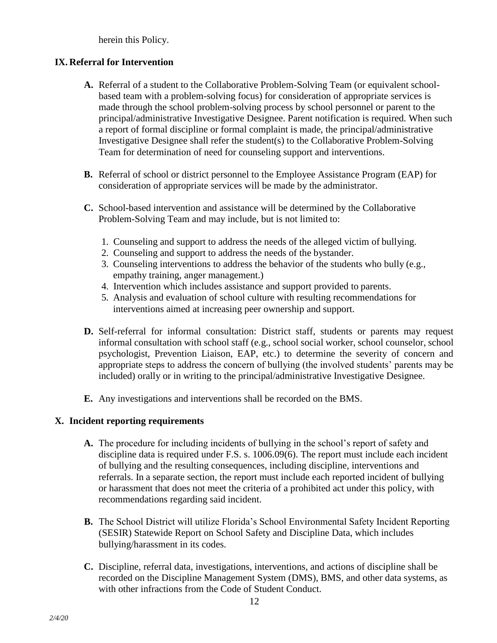herein this Policy.

# **IX. Referral for Intervention**

- **A.** Referral of a student to the Collaborative Problem-Solving Team (or equivalent schoolbased team with a problem-solving focus) for consideration of appropriate services is made through the school problem-solving process by school personnel or parent to the principal/administrative Investigative Designee. Parent notification is required. When such a report of formal discipline or formal complaint is made, the principal/administrative Investigative Designee shall refer the student(s) to the Collaborative Problem-Solving Team for determination of need for counseling support and interventions.
- **B.** Referral of school or district personnel to the Employee Assistance Program (EAP) for consideration of appropriate services will be made by the administrator.
- **C.** School-based intervention and assistance will be determined by the Collaborative Problem-Solving Team and may include, but is not limited to:
	- 1. Counseling and support to address the needs of the alleged victim of bullying.
	- 2. Counseling and support to address the needs of the bystander.
	- 3. Counseling interventions to address the behavior of the students who bully (e.g., empathy training, anger management.)
	- 4. Intervention which includes assistance and support provided to parents.
	- 5. Analysis and evaluation of school culture with resulting recommendations for interventions aimed at increasing peer ownership and support.
- **D.** Self-referral for informal consultation: District staff, students or parents may request informal consultation with school staff (e.g., school social worker, school counselor, school psychologist, Prevention Liaison, EAP, etc.) to determine the severity of concern and appropriate steps to address the concern of bullying (the involved students' parents may be included) orally or in writing to the principal/administrative Investigative Designee.
- **E.** Any investigations and interventions shall be recorded on the BMS.

# **X. Incident reporting requirements**

- **A.** The procedure for including incidents of bullying in the school's report of safety and discipline data is required under F.S. s. 1006.09(6). The report must include each incident of bullying and the resulting consequences, including discipline, interventions and referrals. In a separate section, the report must include each reported incident of bullying or harassment that does not meet the criteria of a prohibited act under this policy, with recommendations regarding said incident.
- **B.** The School District will utilize Florida's School Environmental Safety Incident Reporting (SESIR) Statewide Report on School Safety and Discipline Data, which includes bullying/harassment in its codes.
- **C.** Discipline, referral data, investigations, interventions, and actions of discipline shall be recorded on the Discipline Management System (DMS), BMS, and other data systems, as with other infractions from the Code of Student Conduct.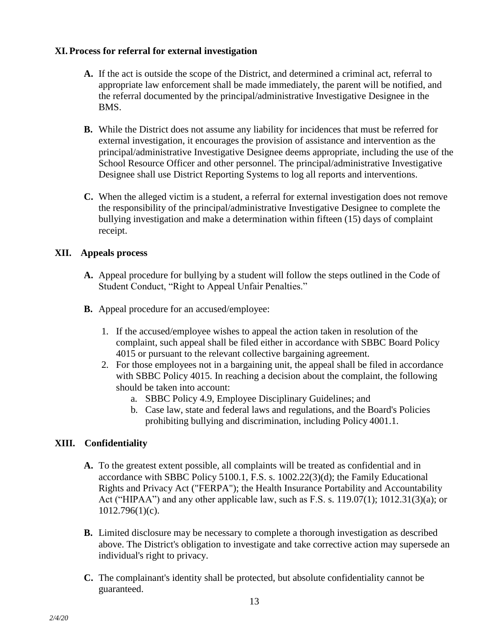# **XI. Process for referral for external investigation**

- **A.** If the act is outside the scope of the District, and determined a criminal act, referral to appropriate law enforcement shall be made immediately, the parent will be notified, and the referral documented by the principal/administrative Investigative Designee in the BMS.
- **B.** While the District does not assume any liability for incidences that must be referred for external investigation, it encourages the provision of assistance and intervention as the principal/administrative Investigative Designee deems appropriate, including the use of the School Resource Officer and other personnel. The principal/administrative Investigative Designee shall use District Reporting Systems to log all reports and interventions.
- **C.** When the alleged victim is a student, a referral for external investigation does not remove the responsibility of the principal/administrative Investigative Designee to complete the bullying investigation and make a determination within fifteen (15) days of complaint receipt.

#### **XII. Appeals process**

- **A.** Appeal procedure for bullying by a student will follow the steps outlined in the Code of Student Conduct, "Right to Appeal Unfair Penalties."
- **B.** Appeal procedure for an accused/employee:
	- 1. If the accused/employee wishes to appeal the action taken in resolution of the complaint, such appeal shall be filed either in accordance with SBBC Board Policy 4015 or pursuant to the relevant collective bargaining agreement.
	- 2. For those employees not in a bargaining unit, the appeal shall be filed in accordance with SBBC Policy 4015. In reaching a decision about the complaint, the following should be taken into account:
		- a. SBBC Policy 4.9, Employee Disciplinary Guidelines; and
		- b. Case law, state and federal laws and regulations, and the Board's Policies prohibiting bullying and discrimination, including Policy 4001.1.

# **XIII. Confidentiality**

- **A.** To the greatest extent possible, all complaints will be treated as confidential and in accordance with SBBC Policy 5100.1, F.S. s. 1002.22(3)(d); the Family Educational Rights and Privacy Act ("FERPA"); the Health Insurance Portability and Accountability Act ("HIPAA") and any other applicable law, such as F.S. s. 119.07(1); 1012.31(3)(a); or  $1012.796(1)(c)$ .
- **B.** Limited disclosure may be necessary to complete a thorough investigation as described above. The District's obligation to investigate and take corrective action may supersede an individual's right to privacy.
- **C.** The complainant's identity shall be protected, but absolute confidentiality cannot be guaranteed.